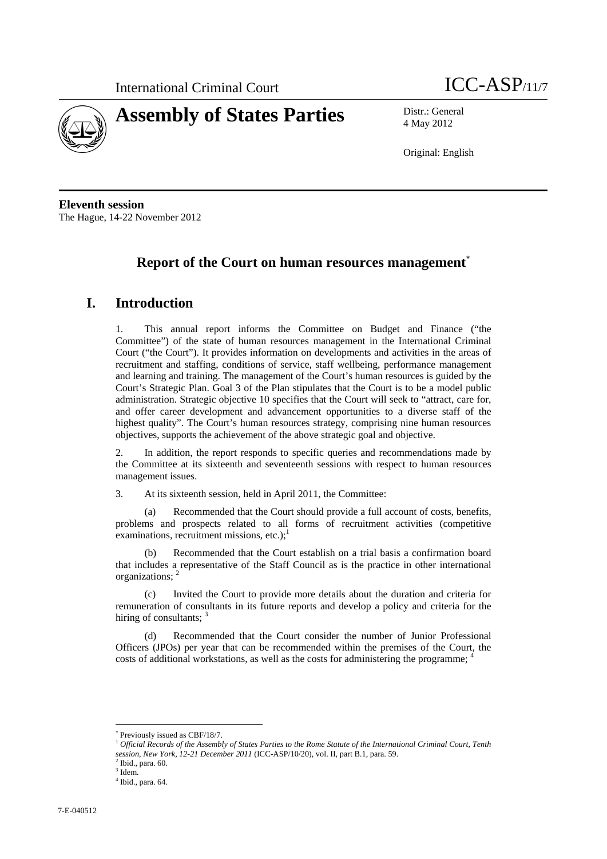



4 May 2012

Original: English

**Eleventh session**  The Hague, 14-22 November 2012

# **Report of the Court on human resources management**\*

# **I. Introduction**

1. This annual report informs the Committee on Budget and Finance ("the Committee") of the state of human resources management in the International Criminal Court ("the Court"). It provides information on developments and activities in the areas of recruitment and staffing, conditions of service, staff wellbeing, performance management and learning and training. The management of the Court's human resources is guided by the Court's Strategic Plan. Goal 3 of the Plan stipulates that the Court is to be a model public administration. Strategic objective 10 specifies that the Court will seek to "attract, care for, and offer career development and advancement opportunities to a diverse staff of the highest quality". The Court's human resources strategy, comprising nine human resources objectives, supports the achievement of the above strategic goal and objective.

2. In addition, the report responds to specific queries and recommendations made by the Committee at its sixteenth and seventeenth sessions with respect to human resources management issues.

3. At its sixteenth session, held in April 2011, the Committee:

(a) Recommended that the Court should provide a full account of costs, benefits, problems and prospects related to all forms of recruitment activities (competitive examinations, recruitment missions, etc.); $^1$ 

(b) Recommended that the Court establish on a trial basis a confirmation board that includes a representative of the Staff Council as is the practice in other international organizations; 2

Invited the Court to provide more details about the duration and criteria for remuneration of consultants in its future reports and develop a policy and criteria for the hiring of consultants; 3

(d) Recommended that the Court consider the number of Junior Professional Officers (JPOs) per year that can be recommended within the premises of the Court, the costs of additional workstations, as well as the costs for administering the programme;

<sup>\*</sup> Previously issued as CBF/18/7.

<sup>1</sup> *Official Records of the Assembly of States Parties to the Rome Statute of the International Criminal Court, Tenth session, New York, 12-21 December 2011* (ICC-ASP/10/20), vol. II, part B.1, para. 59. 2

 $2$  Ibid., para. 60.

<sup>3</sup> Idem.

<sup>4</sup> Ibid., para. 64.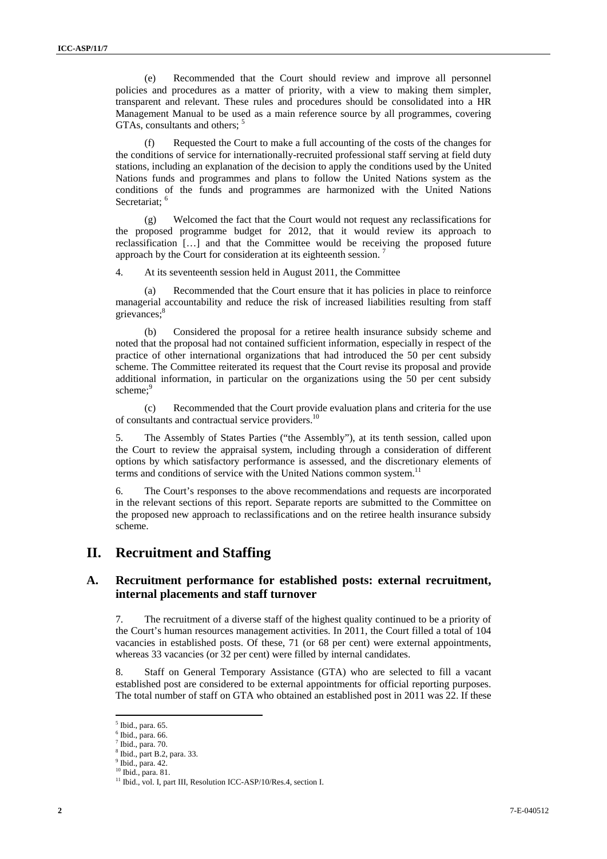(e) Recommended that the Court should review and improve all personnel policies and procedures as a matter of priority, with a view to making them simpler, transparent and relevant. These rules and procedures should be consolidated into a HR Management Manual to be used as a main reference source by all programmes, covering GTAs, consultants and others;

(f) Requested the Court to make a full accounting of the costs of the changes for the conditions of service for internationally-recruited professional staff serving at field duty stations, including an explanation of the decision to apply the conditions used by the United Nations funds and programmes and plans to follow the United Nations system as the conditions of the funds and programmes are harmonized with the United Nations Secretariat;<sup>6</sup>

(g) Welcomed the fact that the Court would not request any reclassifications for the proposed programme budget for 2012, that it would review its approach to reclassification […] and that the Committee would be receiving the proposed future approach by the Court for consideration at its eighteenth session.

4. At its seventeenth session held in August 2011, the Committee

(a) Recommended that the Court ensure that it has policies in place to reinforce managerial accountability and reduce the risk of increased liabilities resulting from staff grievances;<sup>8</sup>

(b) Considered the proposal for a retiree health insurance subsidy scheme and noted that the proposal had not contained sufficient information, especially in respect of the practice of other international organizations that had introduced the 50 per cent subsidy scheme. The Committee reiterated its request that the Court revise its proposal and provide additional information, in particular on the organizations using the 50 per cent subsidy scheme:<sup>9</sup>

(c) Recommended that the Court provide evaluation plans and criteria for the use of consultants and contractual service providers.<sup>10</sup>

5. The Assembly of States Parties ("the Assembly"), at its tenth session, called upon the Court to review the appraisal system, including through a consideration of different options by which satisfactory performance is assessed, and the discretionary elements of terms and conditions of service with the United Nations common system.<sup>11</sup>

6. The Court's responses to the above recommendations and requests are incorporated in the relevant sections of this report. Separate reports are submitted to the Committee on the proposed new approach to reclassifications and on the retiree health insurance subsidy scheme.

# **II. Recruitment and Staffing**

## **A. Recruitment performance for established posts: external recruitment, internal placements and staff turnover**

7. The recruitment of a diverse staff of the highest quality continued to be a priority of the Court's human resources management activities. In 2011, the Court filled a total of 104 vacancies in established posts. Of these, 71 (or 68 per cent) were external appointments, whereas 33 vacancies (or 32 per cent) were filled by internal candidates.

8. Staff on General Temporary Assistance (GTA) who are selected to fill a vacant established post are considered to be external appointments for official reporting purposes. The total number of staff on GTA who obtained an established post in 2011 was 22. If these

<sup>5</sup> Ibid., para. 65.

 $^6$  Ibid., para. 66.

Ibid., para. 70.

<sup>8</sup> Ibid., part B.2, para. 33.

 $<sup>9</sup>$  Ibid., para. 42.</sup>

<sup>10</sup> Ibid., para. 81.

<sup>&</sup>lt;sup>11</sup> Ibid., vol. I, part III, Resolution ICC-ASP/10/Res.4, section I.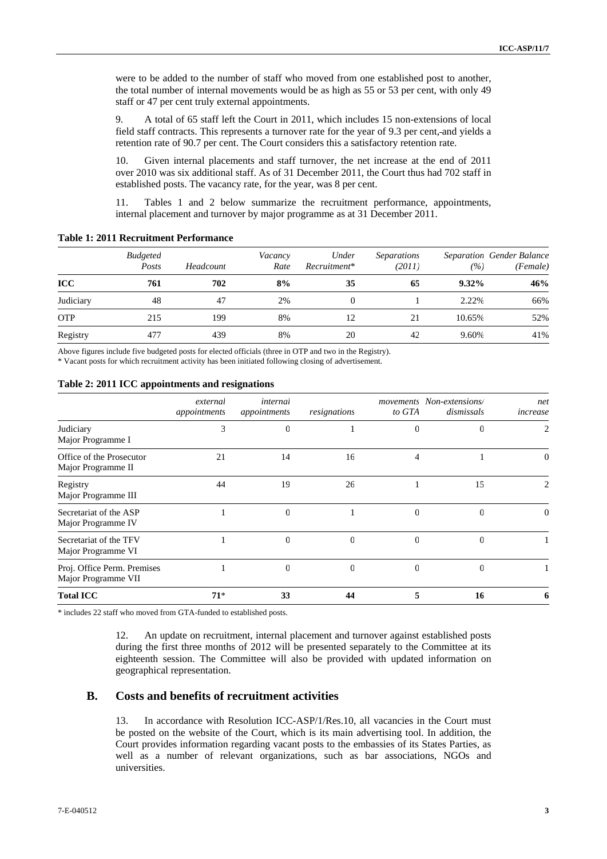were to be added to the number of staff who moved from one established post to another, the total number of internal movements would be as high as 55 or 53 per cent, with only 49 staff or 47 per cent truly external appointments.

9. A total of 65 staff left the Court in 2011, which includes 15 non-extensions of local field staff contracts. This represents a turnover rate for the year of 9.3 per cent, and yields a retention rate of 90.7 per cent. The Court considers this a satisfactory retention rate.

10. Given internal placements and staff turnover, the net increase at the end of 2011 over 2010 was six additional staff. As of 31 December 2011, the Court thus had 702 staff in established posts. The vacancy rate, for the year, was 8 per cent.

11. Tables 1 and 2 below summarize the recruitment performance, appointments, internal placement and turnover by major programme as at 31 December 2011.

|            | <b>Budgeted</b><br>Posts | Headcount | Vacancy<br>Rate | Under<br>Recruitment* | <i>Separations</i><br>(2011) | (%)      | <b>Separation Gender Balance</b><br>(Female) |
|------------|--------------------------|-----------|-----------------|-----------------------|------------------------------|----------|----------------------------------------------|
| <b>ICC</b> | 761                      | 702       | 8%              | 35                    | 65                           | $9.32\%$ | 46%                                          |
| Judiciary  | 48                       | 47        | 2%              |                       |                              | 2.22%    | 66%                                          |
| <b>OTP</b> | 215                      | 199       | 8%              | 12                    | 21                           | 10.65%   | 52%                                          |
| Registry   | 477                      | 439       | 8%              | 20                    | 42                           | 9.60%    | 41%                                          |

#### **Table 1: 2011 Recruitment Performance**

Above figures include five budgeted posts for elected officials (three in OTP and two in the Registry).

\* Vacant posts for which recruitment activity has been initiated following closing of advertisement.

#### **Table 2: 2011 ICC appointments and resignations**

|                                                    | external<br>appointments | internal<br>appointments | resignations | to GTA       | movements Non-extensions/<br>dismissals | net<br>increase |
|----------------------------------------------------|--------------------------|--------------------------|--------------|--------------|-----------------------------------------|-----------------|
| Judiciary<br>Major Programme I                     | 3                        |                          |              | 0            |                                         | 2               |
| Office of the Prosecutor<br>Major Programme II     | 21                       | 14                       | 16           | 4            |                                         | 0               |
| Registry<br>Major Programme III                    | 44                       | 19                       | 26           |              | 15                                      |                 |
| Secretariat of the ASP<br>Major Programme IV       |                          | $\Omega$                 |              | $\mathbf{0}$ |                                         | 0               |
| Secretariat of the TFV<br>Major Programme VI       |                          | $\Omega$                 | $\theta$     | $\Omega$     | $\Omega$                                |                 |
| Proj. Office Perm. Premises<br>Major Programme VII |                          | $\Omega$                 | $\Omega$     | $\Omega$     | $\Omega$                                |                 |
| <b>Total ICC</b>                                   | $71*$                    | 33                       | 44           | 5            | 16                                      | o               |

\* includes 22 staff who moved from GTA-funded to established posts.

12. An update on recruitment, internal placement and turnover against established posts during the first three months of 2012 will be presented separately to the Committee at its eighteenth session. The Committee will also be provided with updated information on geographical representation.

### **B. Costs and benefits of recruitment activities**

13. In accordance with Resolution ICC-ASP/1/Res.10, all vacancies in the Court must be posted on the website of the Court, which is its main advertising tool. In addition, the Court provides information regarding vacant posts to the embassies of its States Parties, as well as a number of relevant organizations, such as bar associations, NGOs and universities.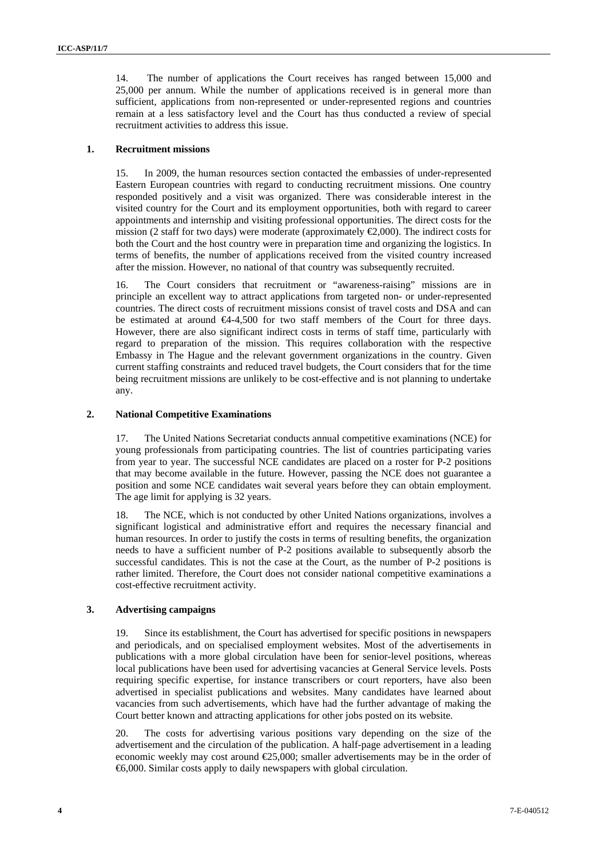14. The number of applications the Court receives has ranged between 15,000 and 25,000 per annum. While the number of applications received is in general more than sufficient, applications from non-represented or under-represented regions and countries remain at a less satisfactory level and the Court has thus conducted a review of special recruitment activities to address this issue.

#### **1. Recruitment missions**

15. In 2009, the human resources section contacted the embassies of under-represented Eastern European countries with regard to conducting recruitment missions. One country responded positively and a visit was organized. There was considerable interest in the visited country for the Court and its employment opportunities, both with regard to career appointments and internship and visiting professional opportunities. The direct costs for the mission (2 staff for two days) were moderate (approximately  $\epsilon$ ,000). The indirect costs for both the Court and the host country were in preparation time and organizing the logistics. In terms of benefits, the number of applications received from the visited country increased after the mission. However, no national of that country was subsequently recruited.

16. The Court considers that recruitment or "awareness-raising" missions are in principle an excellent way to attract applications from targeted non- or under-represented countries. The direct costs of recruitment missions consist of travel costs and DSA and can be estimated at around €4-4,500 for two staff members of the Court for three days. However, there are also significant indirect costs in terms of staff time, particularly with regard to preparation of the mission. This requires collaboration with the respective Embassy in The Hague and the relevant government organizations in the country. Given current staffing constraints and reduced travel budgets, the Court considers that for the time being recruitment missions are unlikely to be cost-effective and is not planning to undertake any.

#### **2. National Competitive Examinations**

17. The United Nations Secretariat conducts annual competitive examinations (NCE) for young professionals from participating countries. The list of countries participating varies from year to year. The successful NCE candidates are placed on a roster for P-2 positions that may become available in the future. However, passing the NCE does not guarantee a position and some NCE candidates wait several years before they can obtain employment. The age limit for applying is 32 years.

The NCE, which is not conducted by other United Nations organizations, involves a significant logistical and administrative effort and requires the necessary financial and human resources. In order to justify the costs in terms of resulting benefits, the organization needs to have a sufficient number of P-2 positions available to subsequently absorb the successful candidates. This is not the case at the Court, as the number of P-2 positions is rather limited. Therefore, the Court does not consider national competitive examinations a cost-effective recruitment activity.

#### **3. Advertising campaigns**

Since its establishment, the Court has advertised for specific positions in newspapers and periodicals, and on specialised employment websites. Most of the advertisements in publications with a more global circulation have been for senior-level positions, whereas local publications have been used for advertising vacancies at General Service levels. Posts requiring specific expertise, for instance transcribers or court reporters, have also been advertised in specialist publications and websites. Many candidates have learned about vacancies from such advertisements, which have had the further advantage of making the Court better known and attracting applications for other jobs posted on its website.

20. The costs for advertising various positions vary depending on the size of the advertisement and the circulation of the publication. A half-page advertisement in a leading economic weekly may cost around €25,000; smaller advertisements may be in the order of €6,000. Similar costs apply to daily newspapers with global circulation.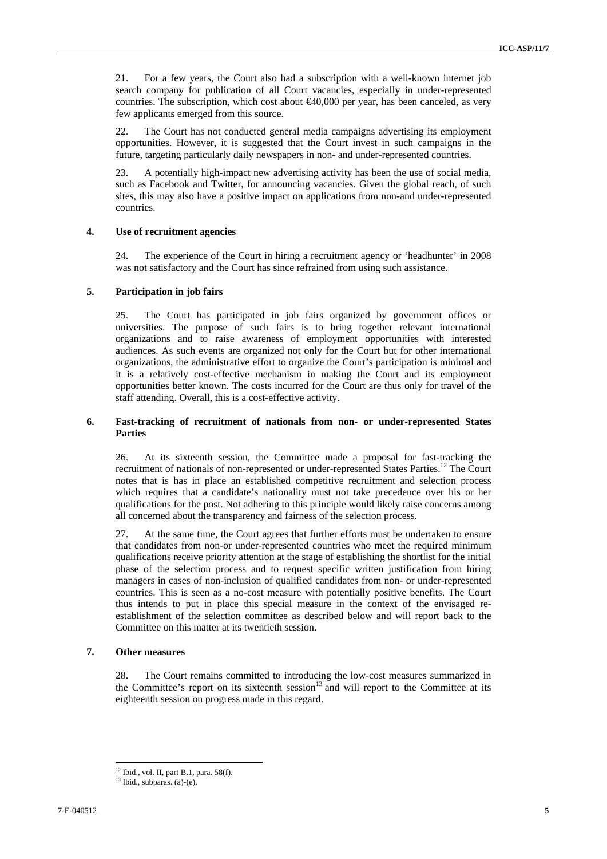21. For a few years, the Court also had a subscription with a well-known internet job search company for publication of all Court vacancies, especially in under-represented countries. The subscription, which cost about  $\epsilon 40,000$  per year, has been canceled, as very few applicants emerged from this source.

22. The Court has not conducted general media campaigns advertising its employment opportunities. However, it is suggested that the Court invest in such campaigns in the future, targeting particularly daily newspapers in non- and under-represented countries.

23. A potentially high-impact new advertising activity has been the use of social media, such as Facebook and Twitter, for announcing vacancies. Given the global reach, of such sites, this may also have a positive impact on applications from non-and under-represented countries.

#### **4. Use of recruitment agencies**

24. The experience of the Court in hiring a recruitment agency or 'headhunter' in 2008 was not satisfactory and the Court has since refrained from using such assistance.

#### **5. Participation in job fairs**

25. The Court has participated in job fairs organized by government offices or universities. The purpose of such fairs is to bring together relevant international organizations and to raise awareness of employment opportunities with interested audiences. As such events are organized not only for the Court but for other international organizations, the administrative effort to organize the Court's participation is minimal and it is a relatively cost-effective mechanism in making the Court and its employment opportunities better known. The costs incurred for the Court are thus only for travel of the staff attending. Overall, this is a cost-effective activity.

#### **6. Fast-tracking of recruitment of nationals from non- or under-represented States Parties**

26. At its sixteenth session, the Committee made a proposal for fast-tracking the recruitment of nationals of non-represented or under-represented States Parties.12 The Court notes that is has in place an established competitive recruitment and selection process which requires that a candidate's nationality must not take precedence over his or her qualifications for the post. Not adhering to this principle would likely raise concerns among all concerned about the transparency and fairness of the selection process.

27. At the same time, the Court agrees that further efforts must be undertaken to ensure that candidates from non-or under-represented countries who meet the required minimum qualifications receive priority attention at the stage of establishing the shortlist for the initial phase of the selection process and to request specific written justification from hiring managers in cases of non-inclusion of qualified candidates from non- or under-represented countries. This is seen as a no-cost measure with potentially positive benefits. The Court thus intends to put in place this special measure in the context of the envisaged reestablishment of the selection committee as described below and will report back to the Committee on this matter at its twentieth session.

### **7. Other measures**

 $\overline{a}$ 

28. The Court remains committed to introducing the low-cost measures summarized in the Committee's report on its sixteenth session<sup>13</sup> and will report to the Committee at its eighteenth session on progress made in this regard.

<sup>12</sup> Ibid., vol. II, part B.1, para. 58(f).

 $13$  Ibid., subparas. (a)-(e).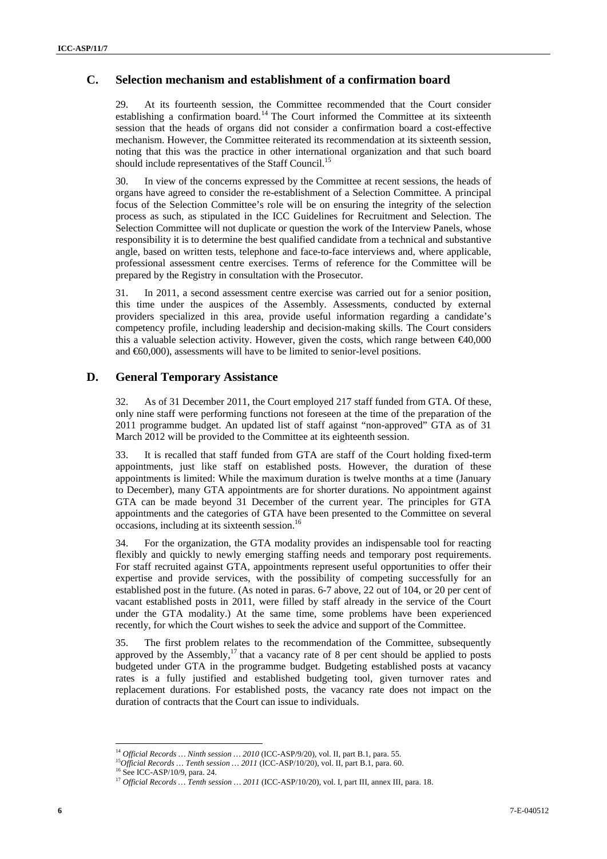## **C. Selection mechanism and establishment of a confirmation board**

29. At its fourteenth session, the Committee recommended that the Court consider establishing a confirmation board.<sup>14</sup> The Court informed the Committee at its sixteenth session that the heads of organs did not consider a confirmation board a cost-effective mechanism. However, the Committee reiterated its recommendation at its sixteenth session, noting that this was the practice in other international organization and that such board should include representatives of the Staff Council.<sup>15</sup>

30. In view of the concerns expressed by the Committee at recent sessions, the heads of organs have agreed to consider the re-establishment of a Selection Committee. A principal focus of the Selection Committee's role will be on ensuring the integrity of the selection process as such, as stipulated in the ICC Guidelines for Recruitment and Selection. The Selection Committee will not duplicate or question the work of the Interview Panels, whose responsibility it is to determine the best qualified candidate from a technical and substantive angle, based on written tests, telephone and face-to-face interviews and, where applicable, professional assessment centre exercises. Terms of reference for the Committee will be prepared by the Registry in consultation with the Prosecutor.

31. In 2011, a second assessment centre exercise was carried out for a senior position, this time under the auspices of the Assembly. Assessments, conducted by external providers specialized in this area, provide useful information regarding a candidate's competency profile, including leadership and decision-making skills. The Court considers this a valuable selection activity. However, given the costs, which range between  $\epsilon 40,000$ and €60,000), assessments will have to be limited to senior-level positions.

### **D. General Temporary Assistance**

32. As of 31 December 2011, the Court employed 217 staff funded from GTA. Of these, only nine staff were performing functions not foreseen at the time of the preparation of the 2011 programme budget. An updated list of staff against "non-approved" GTA as of 31 March 2012 will be provided to the Committee at its eighteenth session.

33. It is recalled that staff funded from GTA are staff of the Court holding fixed-term appointments, just like staff on established posts. However, the duration of these appointments is limited: While the maximum duration is twelve months at a time (January to December), many GTA appointments are for shorter durations. No appointment against GTA can be made beyond 31 December of the current year. The principles for GTA appointments and the categories of GTA have been presented to the Committee on several occasions, including at its sixteenth session.<sup>16</sup>

34. For the organization, the GTA modality provides an indispensable tool for reacting flexibly and quickly to newly emerging staffing needs and temporary post requirements. For staff recruited against GTA, appointments represent useful opportunities to offer their expertise and provide services, with the possibility of competing successfully for an established post in the future. (As noted in paras. 6-7 above, 22 out of 104, or 20 per cent of vacant established posts in 2011, were filled by staff already in the service of the Court under the GTA modality.) At the same time, some problems have been experienced recently, for which the Court wishes to seek the advice and support of the Committee.

35. The first problem relates to the recommendation of the Committee, subsequently approved by the Assembly, $^{17}$  that a vacancy rate of 8 per cent should be applied to posts budgeted under GTA in the programme budget. Budgeting established posts at vacancy rates is a fully justified and established budgeting tool, given turnover rates and replacement durations. For established posts, the vacancy rate does not impact on the duration of contracts that the Court can issue to individuals.

<sup>&</sup>lt;sup>14</sup> Official Records ... Ninth session ... 2010 (ICC-ASP/9/20), vol. II, part B.1, para. 55.

 $^{15}O_{H\bar{H}C}^{fit}$  Records … Tenth session … 2011 (ICC-ASP/10/20), vol. II, part B.1, para. 60. <sup>16</sup> See ICC-ASP/10/9, para. 24.

<sup>17</sup> *Official Records … Tenth session … 2011* (ICC-ASP/10/20), vol. I, part III, annex III, para. 18.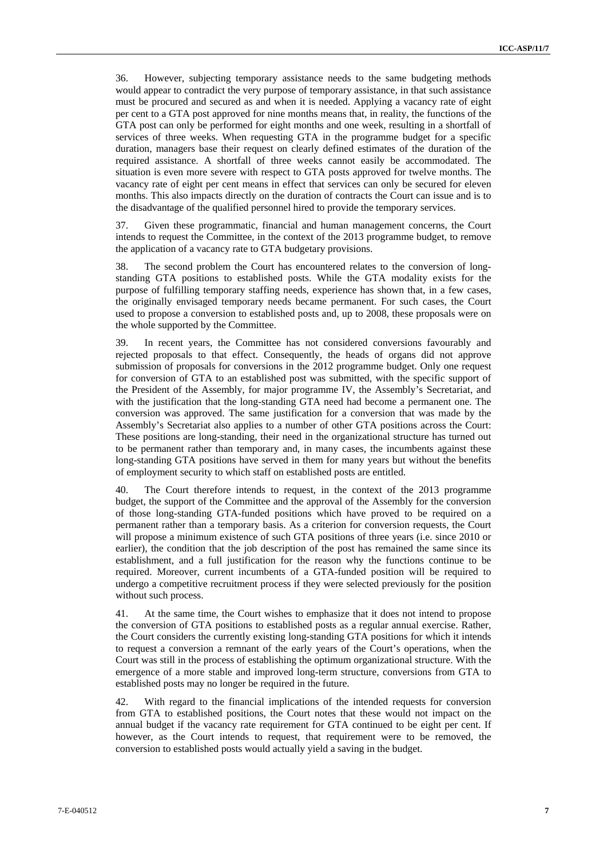36. However, subjecting temporary assistance needs to the same budgeting methods would appear to contradict the very purpose of temporary assistance, in that such assistance must be procured and secured as and when it is needed. Applying a vacancy rate of eight per cent to a GTA post approved for nine months means that, in reality, the functions of the GTA post can only be performed for eight months and one week, resulting in a shortfall of services of three weeks. When requesting GTA in the programme budget for a specific duration, managers base their request on clearly defined estimates of the duration of the required assistance. A shortfall of three weeks cannot easily be accommodated. The situation is even more severe with respect to GTA posts approved for twelve months. The vacancy rate of eight per cent means in effect that services can only be secured for eleven months. This also impacts directly on the duration of contracts the Court can issue and is to the disadvantage of the qualified personnel hired to provide the temporary services.

37. Given these programmatic, financial and human management concerns, the Court intends to request the Committee, in the context of the 2013 programme budget, to remove the application of a vacancy rate to GTA budgetary provisions.

38. The second problem the Court has encountered relates to the conversion of longstanding GTA positions to established posts. While the GTA modality exists for the purpose of fulfilling temporary staffing needs, experience has shown that, in a few cases, the originally envisaged temporary needs became permanent. For such cases, the Court used to propose a conversion to established posts and, up to 2008, these proposals were on the whole supported by the Committee.

In recent years, the Committee has not considered conversions favourably and rejected proposals to that effect. Consequently, the heads of organs did not approve submission of proposals for conversions in the 2012 programme budget. Only one request for conversion of GTA to an established post was submitted, with the specific support of the President of the Assembly, for major programme IV, the Assembly's Secretariat, and with the justification that the long-standing GTA need had become a permanent one. The conversion was approved. The same justification for a conversion that was made by the Assembly's Secretariat also applies to a number of other GTA positions across the Court: These positions are long-standing, their need in the organizational structure has turned out to be permanent rather than temporary and, in many cases, the incumbents against these long-standing GTA positions have served in them for many years but without the benefits of employment security to which staff on established posts are entitled.

40. The Court therefore intends to request, in the context of the 2013 programme budget, the support of the Committee and the approval of the Assembly for the conversion of those long-standing GTA-funded positions which have proved to be required on a permanent rather than a temporary basis. As a criterion for conversion requests, the Court will propose a minimum existence of such GTA positions of three years (i.e. since 2010 or earlier), the condition that the job description of the post has remained the same since its establishment, and a full justification for the reason why the functions continue to be required. Moreover, current incumbents of a GTA-funded position will be required to undergo a competitive recruitment process if they were selected previously for the position without such process.

41. At the same time, the Court wishes to emphasize that it does not intend to propose the conversion of GTA positions to established posts as a regular annual exercise. Rather, the Court considers the currently existing long-standing GTA positions for which it intends to request a conversion a remnant of the early years of the Court's operations, when the Court was still in the process of establishing the optimum organizational structure. With the emergence of a more stable and improved long-term structure, conversions from GTA to established posts may no longer be required in the future.

42. With regard to the financial implications of the intended requests for conversion from GTA to established positions, the Court notes that these would not impact on the annual budget if the vacancy rate requirement for GTA continued to be eight per cent. If however, as the Court intends to request, that requirement were to be removed, the conversion to established posts would actually yield a saving in the budget.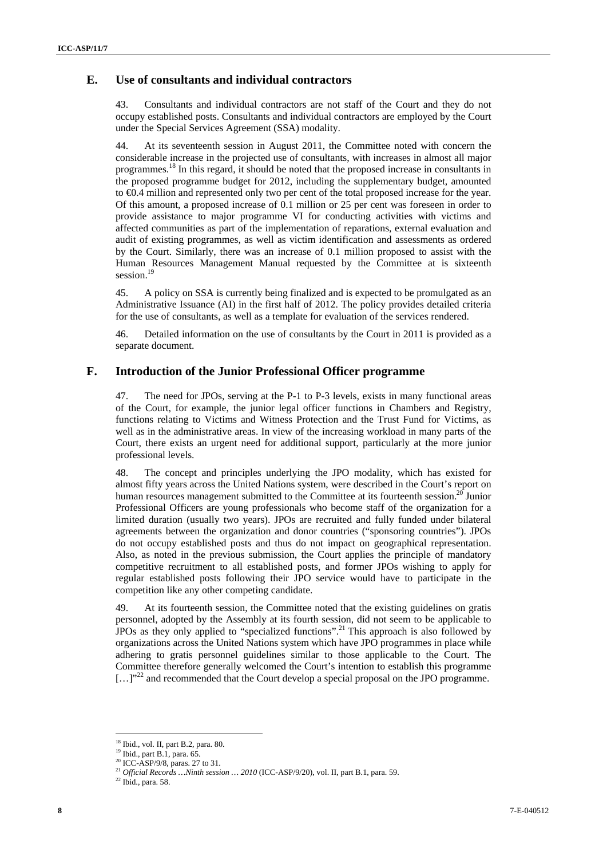## **E. Use of consultants and individual contractors**

43. Consultants and individual contractors are not staff of the Court and they do not occupy established posts. Consultants and individual contractors are employed by the Court under the Special Services Agreement (SSA) modality.

44. At its seventeenth session in August 2011, the Committee noted with concern the considerable increase in the projected use of consultants, with increases in almost all major programmes.18 In this regard, it should be noted that the proposed increase in consultants in the proposed programme budget for 2012, including the supplementary budget, amounted to €0.4 million and represented only two per cent of the total proposed increase for the year. Of this amount, a proposed increase of 0.1 million or 25 per cent was foreseen in order to provide assistance to major programme VI for conducting activities with victims and affected communities as part of the implementation of reparations, external evaluation and audit of existing programmes, as well as victim identification and assessments as ordered by the Court. Similarly, there was an increase of 0.1 million proposed to assist with the Human Resources Management Manual requested by the Committee at is sixteenth session.<sup>19</sup>

45. A policy on SSA is currently being finalized and is expected to be promulgated as an Administrative Issuance (AI) in the first half of 2012. The policy provides detailed criteria for the use of consultants, as well as a template for evaluation of the services rendered.

46. Detailed information on the use of consultants by the Court in 2011 is provided as a separate document.

### **F. Introduction of the Junior Professional Officer programme**

47. The need for JPOs, serving at the P-1 to P-3 levels, exists in many functional areas of the Court, for example, the junior legal officer functions in Chambers and Registry, functions relating to Victims and Witness Protection and the Trust Fund for Victims, as well as in the administrative areas. In view of the increasing workload in many parts of the Court, there exists an urgent need for additional support, particularly at the more junior professional levels.

48. The concept and principles underlying the JPO modality, which has existed for almost fifty years across the United Nations system, were described in the Court's report on human resources management submitted to the Committee at its fourteenth session.<sup>20</sup> Junior Professional Officers are young professionals who become staff of the organization for a limited duration (usually two years). JPOs are recruited and fully funded under bilateral agreements between the organization and donor countries ("sponsoring countries"). JPOs do not occupy established posts and thus do not impact on geographical representation. Also, as noted in the previous submission, the Court applies the principle of mandatory competitive recruitment to all established posts, and former JPOs wishing to apply for regular established posts following their JPO service would have to participate in the competition like any other competing candidate.

49. At its fourteenth session, the Committee noted that the existing guidelines on gratis personnel, adopted by the Assembly at its fourth session, did not seem to be applicable to JPOs as they only applied to "specialized functions".21 This approach is also followed by organizations across the United Nations system which have JPO programmes in place while adhering to gratis personnel guidelines similar to those applicable to the Court. The Committee therefore generally welcomed the Court's intention to establish this programme  $\left[ \ldots \right]$ <sup>22</sup> and recommended that the Court develop a special proposal on the JPO programme.

<sup>&</sup>lt;sup>18</sup> Ibid., vol. II, part B.2, para. 80.

<sup>19</sup> Ibid., part B.1, para. 65.

<sup>20</sup> ICC-ASP/9/8, paras. 27 to 31.

<sup>&</sup>lt;sup>21</sup> *Official Records …Ninth session … 2010* (ICC-ASP/9/20), vol. II, part B.1, para. 59. <sup>22</sup> Ibid., para. 58.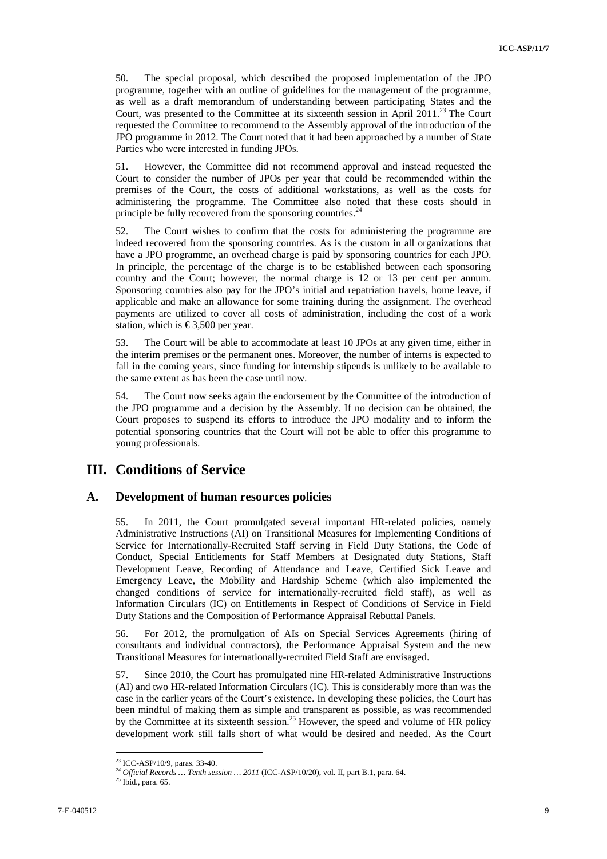50. The special proposal, which described the proposed implementation of the JPO programme, together with an outline of guidelines for the management of the programme, as well as a draft memorandum of understanding between participating States and the Court, was presented to the Committee at its sixteenth session in April 2011.<sup>23</sup> The Court requested the Committee to recommend to the Assembly approval of the introduction of the JPO programme in 2012. The Court noted that it had been approached by a number of State Parties who were interested in funding JPOs.

51. However, the Committee did not recommend approval and instead requested the Court to consider the number of JPOs per year that could be recommended within the premises of the Court, the costs of additional workstations, as well as the costs for administering the programme. The Committee also noted that these costs should in principle be fully recovered from the sponsoring countries.<sup>24</sup>

52. The Court wishes to confirm that the costs for administering the programme are indeed recovered from the sponsoring countries. As is the custom in all organizations that have a JPO programme, an overhead charge is paid by sponsoring countries for each JPO. In principle, the percentage of the charge is to be established between each sponsoring country and the Court; however, the normal charge is 12 or 13 per cent per annum. Sponsoring countries also pay for the JPO's initial and repatriation travels, home leave, if applicable and make an allowance for some training during the assignment. The overhead payments are utilized to cover all costs of administration, including the cost of a work station, which is  $\text{\textsterling}3,500$  per year.

53. The Court will be able to accommodate at least 10 JPOs at any given time, either in the interim premises or the permanent ones. Moreover, the number of interns is expected to fall in the coming years, since funding for internship stipends is unlikely to be available to the same extent as has been the case until now.

54. The Court now seeks again the endorsement by the Committee of the introduction of the JPO programme and a decision by the Assembly. If no decision can be obtained, the Court proposes to suspend its efforts to introduce the JPO modality and to inform the potential sponsoring countries that the Court will not be able to offer this programme to young professionals.

## **III. Conditions of Service**

### **A. Development of human resources policies**

55. In 2011, the Court promulgated several important HR-related policies, namely Administrative Instructions (AI) on Transitional Measures for Implementing Conditions of Service for Internationally-Recruited Staff serving in Field Duty Stations, the Code of Conduct, Special Entitlements for Staff Members at Designated duty Stations, Staff Development Leave, Recording of Attendance and Leave, Certified Sick Leave and Emergency Leave, the Mobility and Hardship Scheme (which also implemented the changed conditions of service for internationally-recruited field staff), as well as Information Circulars (IC) on Entitlements in Respect of Conditions of Service in Field Duty Stations and the Composition of Performance Appraisal Rebuttal Panels.

56. For 2012, the promulgation of AIs on Special Services Agreements (hiring of consultants and individual contractors), the Performance Appraisal System and the new Transitional Measures for internationally-recruited Field Staff are envisaged.

57. Since 2010, the Court has promulgated nine HR-related Administrative Instructions (AI) and two HR-related Information Circulars (IC). This is considerably more than was the case in the earlier years of the Court's existence. In developing these policies, the Court has been mindful of making them as simple and transparent as possible, as was recommended by the Committee at its sixteenth session.<sup>25</sup> However, the speed and volume of HR policy development work still falls short of what would be desired and needed. As the Court

<sup>23</sup> ICC-ASP/10/9, paras. 33-40.

 $^{24}$  Official Records  $\ldots$  Tenth session  $\ldots$  2011 (ICC-ASP/10/20), vol. II, part B.1, para. 64.  $^{25}$  Ibid., para. 65.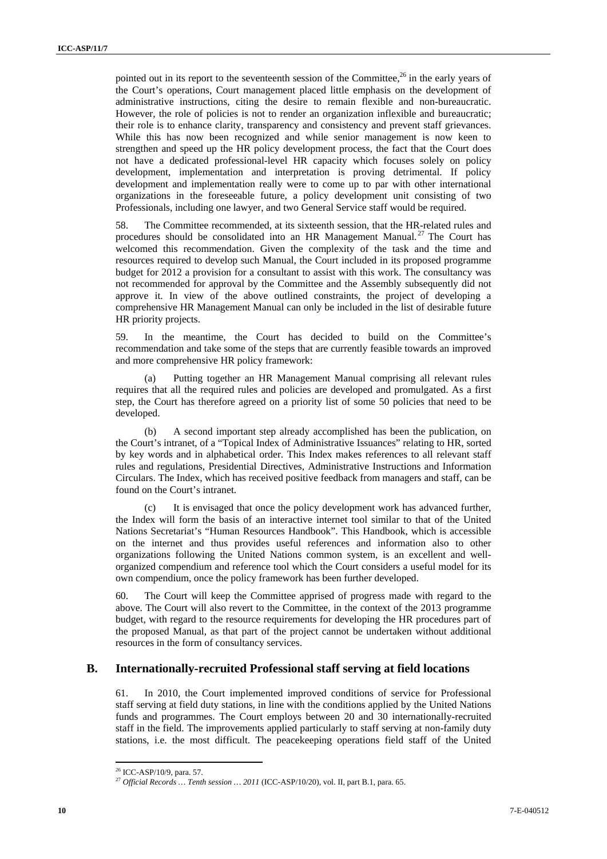pointed out in its report to the seventeenth session of the Committee, $^{26}$  in the early years of the Court's operations, Court management placed little emphasis on the development of administrative instructions, citing the desire to remain flexible and non-bureaucratic. However, the role of policies is not to render an organization inflexible and bureaucratic; their role is to enhance clarity, transparency and consistency and prevent staff grievances. While this has now been recognized and while senior management is now keen to strengthen and speed up the HR policy development process, the fact that the Court does not have a dedicated professional-level HR capacity which focuses solely on policy development, implementation and interpretation is proving detrimental. If policy development and implementation really were to come up to par with other international organizations in the foreseeable future, a policy development unit consisting of two Professionals, including one lawyer, and two General Service staff would be required.

58. The Committee recommended, at its sixteenth session, that the HR-related rules and procedures should be consolidated into an HR Management Manual.<sup>27</sup> The Court has welcomed this recommendation. Given the complexity of the task and the time and resources required to develop such Manual, the Court included in its proposed programme budget for 2012 a provision for a consultant to assist with this work. The consultancy was not recommended for approval by the Committee and the Assembly subsequently did not approve it. In view of the above outlined constraints, the project of developing a comprehensive HR Management Manual can only be included in the list of desirable future HR priority projects.

59. In the meantime, the Court has decided to build on the Committee's recommendation and take some of the steps that are currently feasible towards an improved and more comprehensive HR policy framework:

(a) Putting together an HR Management Manual comprising all relevant rules requires that all the required rules and policies are developed and promulgated. As a first step, the Court has therefore agreed on a priority list of some 50 policies that need to be developed.

(b) A second important step already accomplished has been the publication, on the Court's intranet, of a "Topical Index of Administrative Issuances" relating to HR, sorted by key words and in alphabetical order. This Index makes references to all relevant staff rules and regulations, Presidential Directives, Administrative Instructions and Information Circulars. The Index, which has received positive feedback from managers and staff, can be found on the Court's intranet.

(c) It is envisaged that once the policy development work has advanced further, the Index will form the basis of an interactive internet tool similar to that of the United Nations Secretariat's "Human Resources Handbook". This Handbook, which is accessible on the internet and thus provides useful references and information also to other organizations following the United Nations common system, is an excellent and wellorganized compendium and reference tool which the Court considers a useful model for its own compendium, once the policy framework has been further developed.

60. The Court will keep the Committee apprised of progress made with regard to the above. The Court will also revert to the Committee, in the context of the 2013 programme budget, with regard to the resource requirements for developing the HR procedures part of the proposed Manual, as that part of the project cannot be undertaken without additional resources in the form of consultancy services.

### **B. Internationally-recruited Professional staff serving at field locations**

61. In 2010, the Court implemented improved conditions of service for Professional staff serving at field duty stations, in line with the conditions applied by the United Nations funds and programmes. The Court employs between 20 and 30 internationally-recruited staff in the field. The improvements applied particularly to staff serving at non-family duty stations, i.e. the most difficult. The peacekeeping operations field staff of the United

<sup>26</sup> ICC-ASP/10/9, para. 57.

<sup>27</sup> *Official Records … Tenth session … 2011* (ICC-ASP/10/20), vol. II, part B.1, para. 65.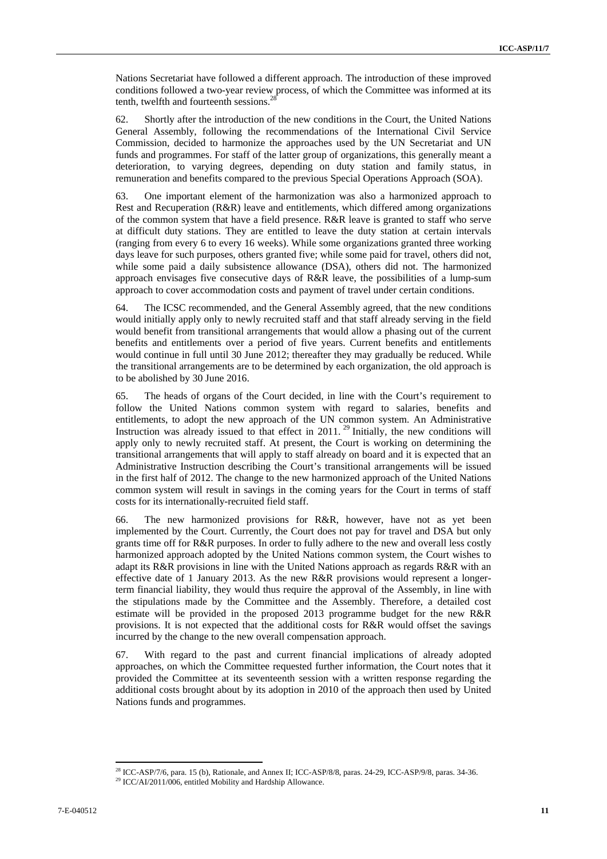Nations Secretariat have followed a different approach. The introduction of these improved conditions followed a two-year review process, of which the Committee was informed at its tenth, twelfth and fourteenth sessions.<sup>28</sup>

62. Shortly after the introduction of the new conditions in the Court, the United Nations General Assembly, following the recommendations of the International Civil Service Commission, decided to harmonize the approaches used by the UN Secretariat and UN funds and programmes. For staff of the latter group of organizations, this generally meant a deterioration, to varying degrees, depending on duty station and family status, in remuneration and benefits compared to the previous Special Operations Approach (SOA).

63. One important element of the harmonization was also a harmonized approach to Rest and Recuperation (R&R) leave and entitlements, which differed among organizations of the common system that have a field presence. R&R leave is granted to staff who serve at difficult duty stations. They are entitled to leave the duty station at certain intervals (ranging from every 6 to every 16 weeks). While some organizations granted three working days leave for such purposes, others granted five; while some paid for travel, others did not, while some paid a daily subsistence allowance (DSA), others did not. The harmonized approach envisages five consecutive days of R&R leave, the possibilities of a lump-sum approach to cover accommodation costs and payment of travel under certain conditions.

64. The ICSC recommended, and the General Assembly agreed, that the new conditions would initially apply only to newly recruited staff and that staff already serving in the field would benefit from transitional arrangements that would allow a phasing out of the current benefits and entitlements over a period of five years. Current benefits and entitlements would continue in full until 30 June 2012; thereafter they may gradually be reduced. While the transitional arrangements are to be determined by each organization, the old approach is to be abolished by 30 June 2016.

65. The heads of organs of the Court decided, in line with the Court's requirement to follow the United Nations common system with regard to salaries, benefits and entitlements, to adopt the new approach of the UN common system. An Administrative Instruction was already issued to that effect in  $2011$ .<sup>29</sup> Initially, the new conditions will apply only to newly recruited staff. At present, the Court is working on determining the transitional arrangements that will apply to staff already on board and it is expected that an Administrative Instruction describing the Court's transitional arrangements will be issued in the first half of 2012. The change to the new harmonized approach of the United Nations common system will result in savings in the coming years for the Court in terms of staff costs for its internationally-recruited field staff.

66. The new harmonized provisions for R&R, however, have not as yet been implemented by the Court. Currently, the Court does not pay for travel and DSA but only grants time off for R&R purposes. In order to fully adhere to the new and overall less costly harmonized approach adopted by the United Nations common system, the Court wishes to adapt its R&R provisions in line with the United Nations approach as regards R&R with an effective date of 1 January 2013. As the new R&R provisions would represent a longerterm financial liability, they would thus require the approval of the Assembly, in line with the stipulations made by the Committee and the Assembly. Therefore, a detailed cost estimate will be provided in the proposed 2013 programme budget for the new R&R provisions. It is not expected that the additional costs for R&R would offset the savings incurred by the change to the new overall compensation approach.

67. With regard to the past and current financial implications of already adopted approaches, on which the Committee requested further information, the Court notes that it provided the Committee at its seventeenth session with a written response regarding the additional costs brought about by its adoption in 2010 of the approach then used by United Nations funds and programmes.

<sup>&</sup>lt;sup>28</sup> ICC-ASP/7/6, para. 15 (b), Rationale, and Annex II; ICC-ASP/8/8, paras. 24-29, ICC-ASP/9/8, paras. 34-36. <sup>29</sup> ICC/AI/2011/006, entitled Mobility and Hardship Allowance.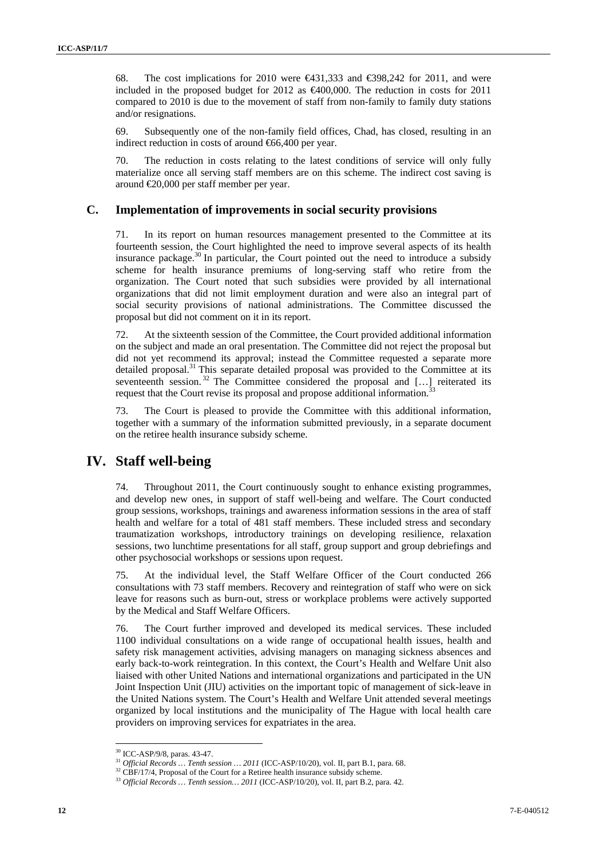68. The cost implications for 2010 were  $\bigoplus$  31,333 and  $\bigoplus$  98,242 for 2011, and were included in the proposed budget for 2012 as  $\epsilon$ 400,000. The reduction in costs for 2011 compared to 2010 is due to the movement of staff from non-family to family duty stations and/or resignations.

69. Subsequently one of the non-family field offices, Chad, has closed, resulting in an indirect reduction in costs of around €66,400 per year.

70. The reduction in costs relating to the latest conditions of service will only fully materialize once all serving staff members are on this scheme. The indirect cost saving is around €20,000 per staff member per year.

### **C. Implementation of improvements in social security provisions**

71. In its report on human resources management presented to the Committee at its fourteenth session, the Court highlighted the need to improve several aspects of its health insurance package.<sup>30</sup> In particular, the Court pointed out the need to introduce a subsidy scheme for health insurance premiums of long-serving staff who retire from the organization. The Court noted that such subsidies were provided by all international organizations that did not limit employment duration and were also an integral part of social security provisions of national administrations. The Committee discussed the proposal but did not comment on it in its report.

72. At the sixteenth session of the Committee, the Court provided additional information on the subject and made an oral presentation. The Committee did not reject the proposal but did not yet recommend its approval; instead the Committee requested a separate more detailed proposal. $31$  This separate detailed proposal was provided to the Committee at its seventeenth session.<sup>32</sup> The Committee considered the proposal and [...] reiterated its request that the Court revise its proposal and propose additional information.<sup>33</sup>

73. The Court is pleased to provide the Committee with this additional information, together with a summary of the information submitted previously, in a separate document on the retiree health insurance subsidy scheme.

# **IV. Staff well-being**

74. Throughout 2011, the Court continuously sought to enhance existing programmes, and develop new ones, in support of staff well-being and welfare. The Court conducted group sessions, workshops, trainings and awareness information sessions in the area of staff health and welfare for a total of 481 staff members. These included stress and secondary traumatization workshops, introductory trainings on developing resilience, relaxation sessions, two lunchtime presentations for all staff, group support and group debriefings and other psychosocial workshops or sessions upon request.

75. At the individual level, the Staff Welfare Officer of the Court conducted 266 consultations with 73 staff members. Recovery and reintegration of staff who were on sick leave for reasons such as burn-out, stress or workplace problems were actively supported by the Medical and Staff Welfare Officers.

76. The Court further improved and developed its medical services. These included 1100 individual consultations on a wide range of occupational health issues, health and safety risk management activities, advising managers on managing sickness absences and early back-to-work reintegration. In this context, the Court's Health and Welfare Unit also liaised with other United Nations and international organizations and participated in the UN Joint Inspection Unit (JIU) activities on the important topic of management of sick-leave in the United Nations system. The Court's Health and Welfare Unit attended several meetings organized by local institutions and the municipality of The Hague with local health care providers on improving services for expatriates in the area.

 $\frac{30}{11}$  ICC-ASP/9/8, paras. 43-47.<br> $\frac{31}{10}$  *Official Records ... Tenth session ... 2011* (ICC-ASP/10/20), vol. II, part B.1, para. 68.

<sup>&</sup>lt;sup>32</sup> CBF/17/4, Proposal of the Court for a Retiree health insurance subsidy scheme.<br><sup>33</sup> Official Records ... Tenth session... 2011 (ICC-ASP/10/20), vol. II, part B.2, para. 42.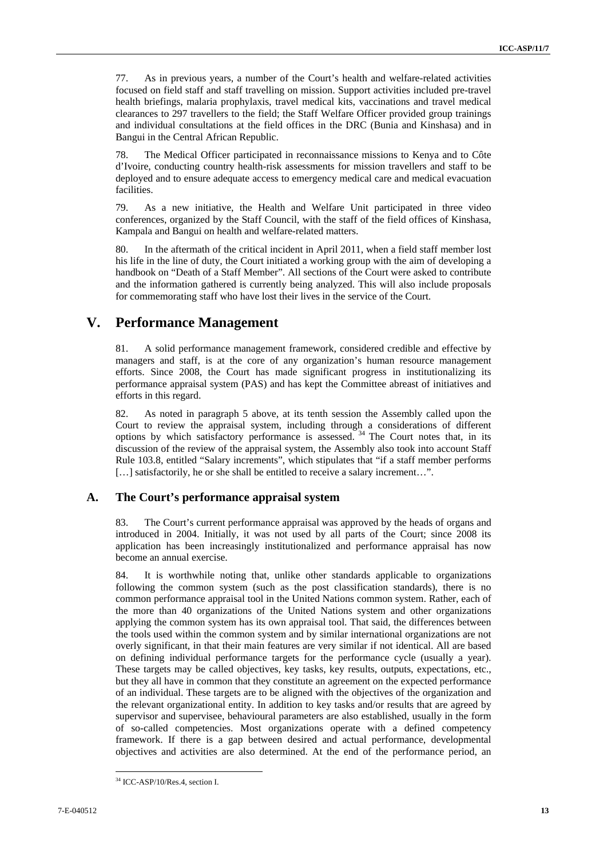77. As in previous years, a number of the Court's health and welfare-related activities focused on field staff and staff travelling on mission. Support activities included pre-travel health briefings, malaria prophylaxis, travel medical kits, vaccinations and travel medical clearances to 297 travellers to the field; the Staff Welfare Officer provided group trainings and individual consultations at the field offices in the DRC (Bunia and Kinshasa) and in Bangui in the Central African Republic.

78. The Medical Officer participated in reconnaissance missions to Kenya and to Côte d'Ivoire, conducting country health-risk assessments for mission travellers and staff to be deployed and to ensure adequate access to emergency medical care and medical evacuation facilities.

79. As a new initiative, the Health and Welfare Unit participated in three video conferences, organized by the Staff Council, with the staff of the field offices of Kinshasa, Kampala and Bangui on health and welfare-related matters.

80. In the aftermath of the critical incident in April 2011, when a field staff member lost his life in the line of duty, the Court initiated a working group with the aim of developing a handbook on "Death of a Staff Member". All sections of the Court were asked to contribute and the information gathered is currently being analyzed. This will also include proposals for commemorating staff who have lost their lives in the service of the Court.

## **V. Performance Management**

81. A solid performance management framework, considered credible and effective by managers and staff, is at the core of any organization's human resource management efforts. Since 2008, the Court has made significant progress in institutionalizing its performance appraisal system (PAS) and has kept the Committee abreast of initiatives and efforts in this regard.

82. As noted in paragraph 5 above, at its tenth session the Assembly called upon the Court to review the appraisal system, including through a considerations of different options by which satisfactory performance is assessed. 34 The Court notes that, in its discussion of the review of the appraisal system, the Assembly also took into account Staff Rule 103.8, entitled "Salary increments", which stipulates that "if a staff member performs [...] satisfactorily, he or she shall be entitled to receive a salary increment...".

### **A. The Court's performance appraisal system**

83. The Court's current performance appraisal was approved by the heads of organs and introduced in 2004. Initially, it was not used by all parts of the Court; since 2008 its application has been increasingly institutionalized and performance appraisal has now become an annual exercise.

84. It is worthwhile noting that, unlike other standards applicable to organizations following the common system (such as the post classification standards), there is no common performance appraisal tool in the United Nations common system. Rather, each of the more than 40 organizations of the United Nations system and other organizations applying the common system has its own appraisal tool. That said, the differences between the tools used within the common system and by similar international organizations are not overly significant, in that their main features are very similar if not identical. All are based on defining individual performance targets for the performance cycle (usually a year). These targets may be called objectives, key tasks, key results, outputs, expectations, etc., but they all have in common that they constitute an agreement on the expected performance of an individual. These targets are to be aligned with the objectives of the organization and the relevant organizational entity. In addition to key tasks and/or results that are agreed by supervisor and supervisee, behavioural parameters are also established, usually in the form of so-called competencies. Most organizations operate with a defined competency framework. If there is a gap between desired and actual performance, developmental objectives and activities are also determined. At the end of the performance period, an

<sup>&</sup>lt;sup>34</sup> ICC-ASP/10/Res.4, section I.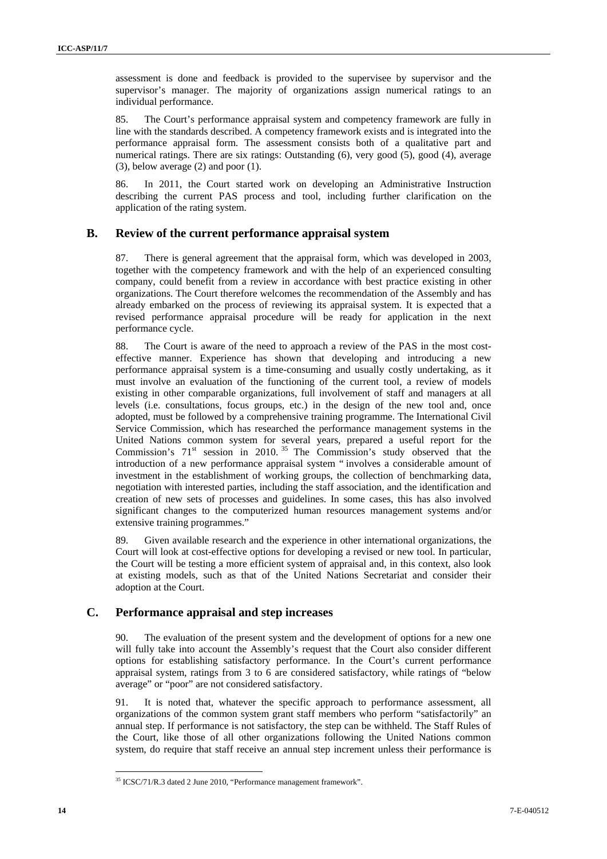assessment is done and feedback is provided to the supervisee by supervisor and the supervisor's manager. The majority of organizations assign numerical ratings to an individual performance.

85. The Court's performance appraisal system and competency framework are fully in line with the standards described. A competency framework exists and is integrated into the performance appraisal form. The assessment consists both of a qualitative part and numerical ratings. There are six ratings: Outstanding (6), very good (5), good (4), average (3), below average (2) and poor (1).

86. In 2011, the Court started work on developing an Administrative Instruction describing the current PAS process and tool, including further clarification on the application of the rating system.

## **B. Review of the current performance appraisal system**

87. There is general agreement that the appraisal form, which was developed in 2003, together with the competency framework and with the help of an experienced consulting company, could benefit from a review in accordance with best practice existing in other organizations. The Court therefore welcomes the recommendation of the Assembly and has already embarked on the process of reviewing its appraisal system. It is expected that a revised performance appraisal procedure will be ready for application in the next performance cycle.

88. The Court is aware of the need to approach a review of the PAS in the most costeffective manner. Experience has shown that developing and introducing a new performance appraisal system is a time-consuming and usually costly undertaking, as it must involve an evaluation of the functioning of the current tool, a review of models existing in other comparable organizations, full involvement of staff and managers at all levels (i.e. consultations, focus groups, etc.) in the design of the new tool and, once adopted, must be followed by a comprehensive training programme. The International Civil Service Commission, which has researched the performance management systems in the United Nations common system for several years, prepared a useful report for the Commission's  $71<sup>st</sup>$  session in 2010.<sup>35</sup> The Commission's study observed that the introduction of a new performance appraisal system " involves a considerable amount of investment in the establishment of working groups, the collection of benchmarking data, negotiation with interested parties, including the staff association, and the identification and creation of new sets of processes and guidelines. In some cases, this has also involved significant changes to the computerized human resources management systems and/or extensive training programmes."

89. Given available research and the experience in other international organizations, the Court will look at cost-effective options for developing a revised or new tool. In particular, the Court will be testing a more efficient system of appraisal and, in this context, also look at existing models, such as that of the United Nations Secretariat and consider their adoption at the Court.

### **C. Performance appraisal and step increases**

90. The evaluation of the present system and the development of options for a new one will fully take into account the Assembly's request that the Court also consider different options for establishing satisfactory performance. In the Court's current performance appraisal system, ratings from 3 to 6 are considered satisfactory, while ratings of "below average" or "poor" are not considered satisfactory.

It is noted that, whatever the specific approach to performance assessment, all organizations of the common system grant staff members who perform "satisfactorily" an annual step. If performance is not satisfactory, the step can be withheld. The Staff Rules of the Court, like those of all other organizations following the United Nations common system, do require that staff receive an annual step increment unless their performance is

<sup>35</sup> ICSC/71/R.3 dated 2 June 2010, "Performance management framework".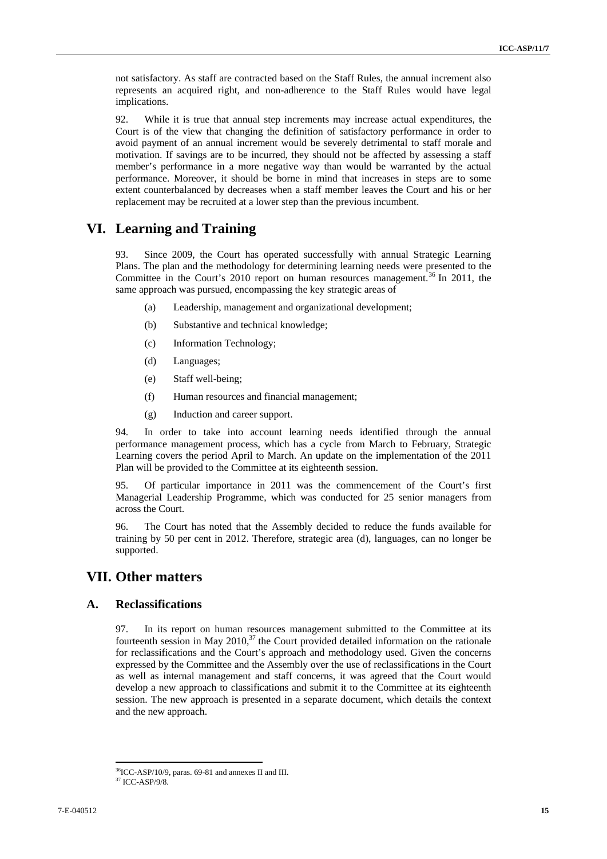not satisfactory. As staff are contracted based on the Staff Rules, the annual increment also represents an acquired right, and non-adherence to the Staff Rules would have legal implications.

92. While it is true that annual step increments may increase actual expenditures, the Court is of the view that changing the definition of satisfactory performance in order to avoid payment of an annual increment would be severely detrimental to staff morale and motivation. If savings are to be incurred, they should not be affected by assessing a staff member's performance in a more negative way than would be warranted by the actual performance. Moreover, it should be borne in mind that increases in steps are to some extent counterbalanced by decreases when a staff member leaves the Court and his or her replacement may be recruited at a lower step than the previous incumbent.

## **VI. Learning and Training**

93. Since 2009, the Court has operated successfully with annual Strategic Learning Plans. The plan and the methodology for determining learning needs were presented to the Committee in the Court's 2010 report on human resources management.<sup>36</sup> In 2011, the same approach was pursued, encompassing the key strategic areas of

- (a) Leadership, management and organizational development;
- (b) Substantive and technical knowledge;
- (c) Information Technology;
- (d) Languages;
- (e) Staff well-being;
- (f) Human resources and financial management;
- (g) Induction and career support.

94. In order to take into account learning needs identified through the annual performance management process, which has a cycle from March to February, Strategic Learning covers the period April to March. An update on the implementation of the 2011 Plan will be provided to the Committee at its eighteenth session.

95. Of particular importance in 2011 was the commencement of the Court's first Managerial Leadership Programme, which was conducted for 25 senior managers from across the Court.

96. The Court has noted that the Assembly decided to reduce the funds available for training by 50 per cent in 2012. Therefore, strategic area (d), languages, can no longer be supported.

# **VII. Other matters**

#### **A. Reclassifications**

97. In its report on human resources management submitted to the Committee at its fourteenth session in May 2010, $37$  the Court provided detailed information on the rationale for reclassifications and the Court's approach and methodology used. Given the concerns expressed by the Committee and the Assembly over the use of reclassifications in the Court as well as internal management and staff concerns, it was agreed that the Court would develop a new approach to classifications and submit it to the Committee at its eighteenth session. The new approach is presented in a separate document, which details the context and the new approach.

 $36$ ICC-ASP/10/9, paras. 69-81 and annexes II and III.  $37$ ICC-ASP/9/8.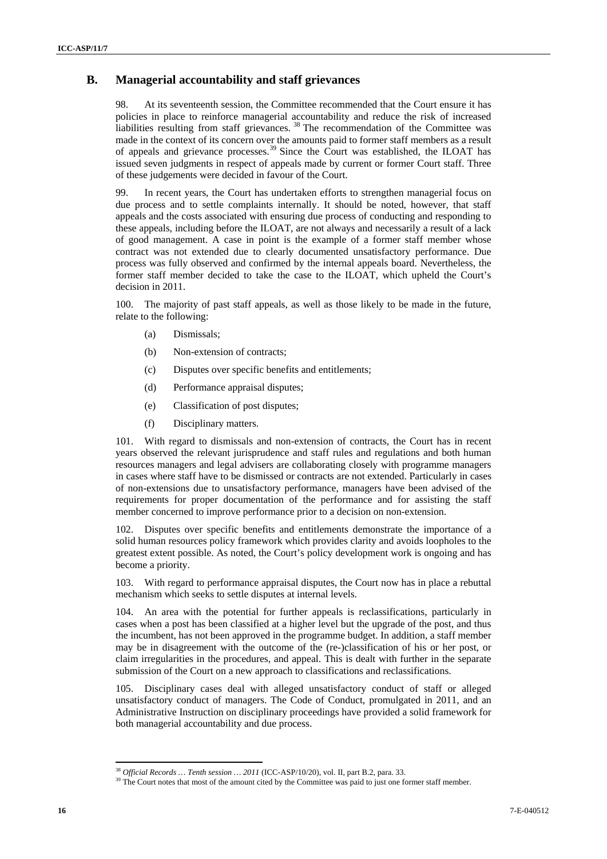## **B. Managerial accountability and staff grievances**

98. At its seventeenth session, the Committee recommended that the Court ensure it has policies in place to reinforce managerial accountability and reduce the risk of increased liabilities resulting from staff grievances.<sup>38</sup> The recommendation of the Committee was made in the context of its concern over the amounts paid to former staff members as a result of appeals and grievance processes.39 Since the Court was established, the ILOAT has issued seven judgments in respect of appeals made by current or former Court staff. Three of these judgements were decided in favour of the Court.

99. In recent years, the Court has undertaken efforts to strengthen managerial focus on due process and to settle complaints internally. It should be noted, however, that staff appeals and the costs associated with ensuring due process of conducting and responding to these appeals, including before the ILOAT, are not always and necessarily a result of a lack of good management. A case in point is the example of a former staff member whose contract was not extended due to clearly documented unsatisfactory performance. Due process was fully observed and confirmed by the internal appeals board. Nevertheless, the former staff member decided to take the case to the ILOAT, which upheld the Court's decision in 2011.

100. The majority of past staff appeals, as well as those likely to be made in the future, relate to the following:

- (a) Dismissals;
- (b) Non-extension of contracts;
- (c) Disputes over specific benefits and entitlements;
- (d) Performance appraisal disputes;
- (e) Classification of post disputes;
- (f) Disciplinary matters.

101. With regard to dismissals and non-extension of contracts, the Court has in recent years observed the relevant jurisprudence and staff rules and regulations and both human resources managers and legal advisers are collaborating closely with programme managers in cases where staff have to be dismissed or contracts are not extended. Particularly in cases of non-extensions due to unsatisfactory performance, managers have been advised of the requirements for proper documentation of the performance and for assisting the staff member concerned to improve performance prior to a decision on non-extension.

102. Disputes over specific benefits and entitlements demonstrate the importance of a solid human resources policy framework which provides clarity and avoids loopholes to the greatest extent possible. As noted, the Court's policy development work is ongoing and has become a priority.

103. With regard to performance appraisal disputes, the Court now has in place a rebuttal mechanism which seeks to settle disputes at internal levels.

104. An area with the potential for further appeals is reclassifications, particularly in cases when a post has been classified at a higher level but the upgrade of the post, and thus the incumbent, has not been approved in the programme budget. In addition, a staff member may be in disagreement with the outcome of the (re-)classification of his or her post, or claim irregularities in the procedures, and appeal. This is dealt with further in the separate submission of the Court on a new approach to classifications and reclassifications.

105. Disciplinary cases deal with alleged unsatisfactory conduct of staff or alleged unsatisfactory conduct of managers. The Code of Conduct, promulgated in 2011, and an Administrative Instruction on disciplinary proceedings have provided a solid framework for both managerial accountability and due process.

<sup>&</sup>lt;sup>38</sup> *Official Records … Tenth session … 2011* (ICC-ASP/10/20), vol. II, part B.2, para. 33.<br><sup>39</sup> The Court notes that most of the amount cited by the Committee was paid to just one former staff member.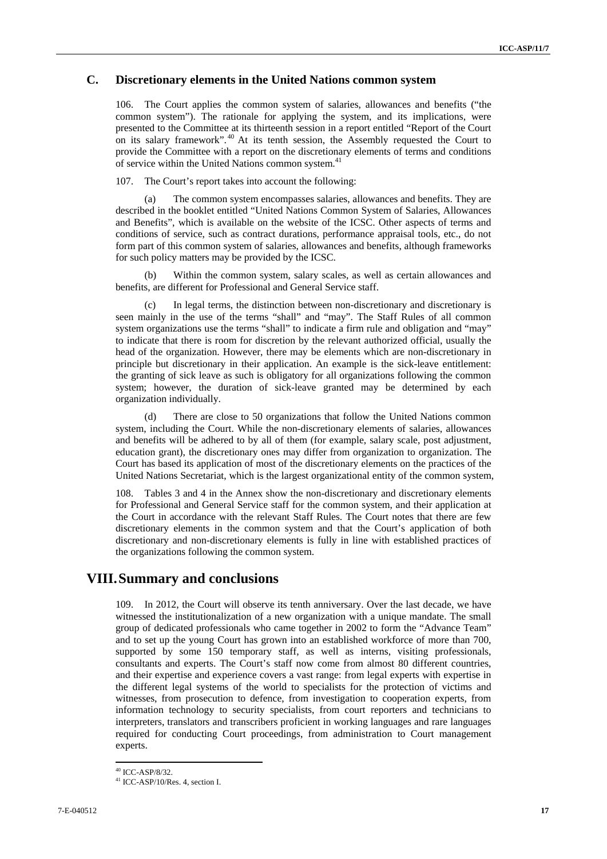## **C. Discretionary elements in the United Nations common system**

106. The Court applies the common system of salaries, allowances and benefits ("the common system"). The rationale for applying the system, and its implications, were presented to the Committee at its thirteenth session in a report entitled "Report of the Court on its salary framework".<sup>40</sup> At its tenth session, the Assembly requested the Court to provide the Committee with a report on the discretionary elements of terms and conditions of service within the United Nations common system.<sup>41</sup>

107. The Court's report takes into account the following:

The common system encompasses salaries, allowances and benefits. They are described in the booklet entitled "United Nations Common System of Salaries, Allowances and Benefits", which is available on the website of the ICSC. Other aspects of terms and conditions of service, such as contract durations, performance appraisal tools, etc., do not form part of this common system of salaries, allowances and benefits, although frameworks for such policy matters may be provided by the ICSC.

(b) Within the common system, salary scales, as well as certain allowances and benefits, are different for Professional and General Service staff.

(c) In legal terms, the distinction between non-discretionary and discretionary is seen mainly in the use of the terms "shall" and "may". The Staff Rules of all common system organizations use the terms "shall" to indicate a firm rule and obligation and "may" to indicate that there is room for discretion by the relevant authorized official, usually the head of the organization. However, there may be elements which are non-discretionary in principle but discretionary in their application. An example is the sick-leave entitlement: the granting of sick leave as such is obligatory for all organizations following the common system; however, the duration of sick-leave granted may be determined by each organization individually.

(d) There are close to 50 organizations that follow the United Nations common system, including the Court. While the non-discretionary elements of salaries, allowances and benefits will be adhered to by all of them (for example, salary scale, post adjustment, education grant), the discretionary ones may differ from organization to organization. The Court has based its application of most of the discretionary elements on the practices of the United Nations Secretariat, which is the largest organizational entity of the common system,

108. Tables 3 and 4 in the Annex show the non-discretionary and discretionary elements for Professional and General Service staff for the common system, and their application at the Court in accordance with the relevant Staff Rules. The Court notes that there are few discretionary elements in the common system and that the Court's application of both discretionary and non-discretionary elements is fully in line with established practices of the organizations following the common system.

# **VIII.Summary and conclusions**

109. In 2012, the Court will observe its tenth anniversary. Over the last decade, we have witnessed the institutionalization of a new organization with a unique mandate. The small group of dedicated professionals who came together in 2002 to form the "Advance Team" and to set up the young Court has grown into an established workforce of more than 700, supported by some 150 temporary staff, as well as interns, visiting professionals, consultants and experts. The Court's staff now come from almost 80 different countries, and their expertise and experience covers a vast range: from legal experts with expertise in the different legal systems of the world to specialists for the protection of victims and witnesses, from prosecution to defence, from investigation to cooperation experts, from information technology to security specialists, from court reporters and technicians to interpreters, translators and transcribers proficient in working languages and rare languages required for conducting Court proceedings, from administration to Court management experts.

<sup>40</sup> ICC-ASP/8/32.

<sup>41</sup> ICC-ASP/10/Res. 4, section I.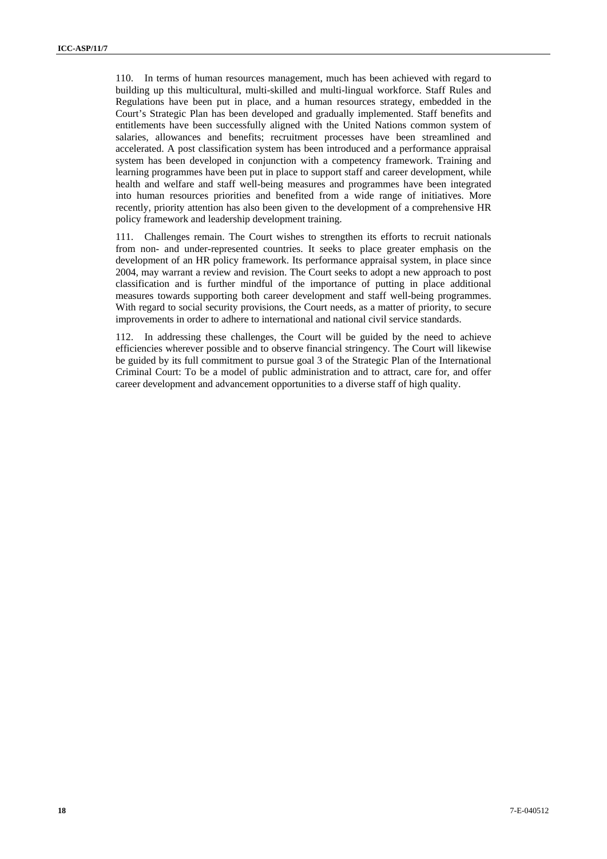110. In terms of human resources management, much has been achieved with regard to building up this multicultural, multi-skilled and multi-lingual workforce. Staff Rules and Regulations have been put in place, and a human resources strategy, embedded in the Court's Strategic Plan has been developed and gradually implemented. Staff benefits and entitlements have been successfully aligned with the United Nations common system of salaries, allowances and benefits; recruitment processes have been streamlined and accelerated. A post classification system has been introduced and a performance appraisal system has been developed in conjunction with a competency framework. Training and learning programmes have been put in place to support staff and career development, while health and welfare and staff well-being measures and programmes have been integrated into human resources priorities and benefited from a wide range of initiatives. More recently, priority attention has also been given to the development of a comprehensive HR policy framework and leadership development training.

111. Challenges remain. The Court wishes to strengthen its efforts to recruit nationals from non- and under-represented countries. It seeks to place greater emphasis on the development of an HR policy framework. Its performance appraisal system, in place since 2004, may warrant a review and revision. The Court seeks to adopt a new approach to post classification and is further mindful of the importance of putting in place additional measures towards supporting both career development and staff well-being programmes. With regard to social security provisions, the Court needs, as a matter of priority, to secure improvements in order to adhere to international and national civil service standards.

112. In addressing these challenges, the Court will be guided by the need to achieve efficiencies wherever possible and to observe financial stringency. The Court will likewise be guided by its full commitment to pursue goal 3 of the Strategic Plan of the International Criminal Court: To be a model of public administration and to attract, care for, and offer career development and advancement opportunities to a diverse staff of high quality.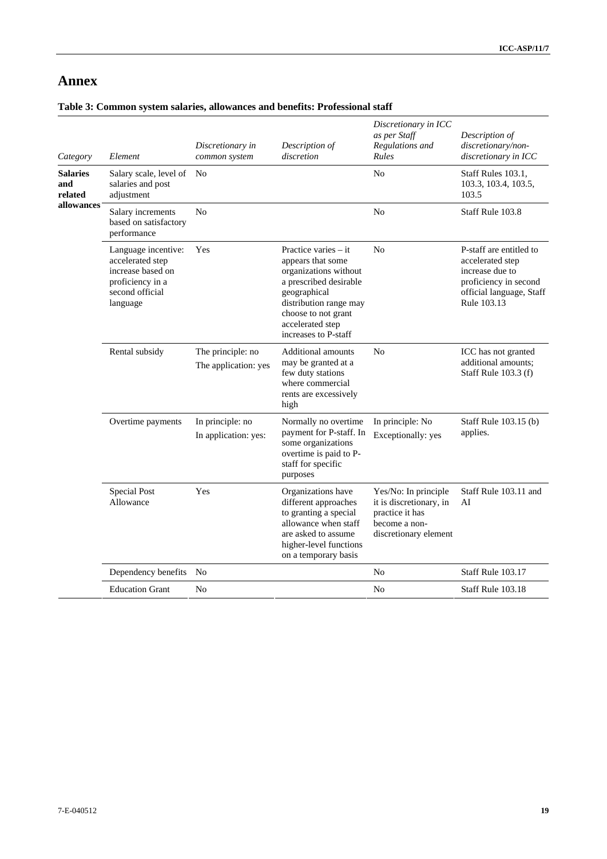# **Annex**

## **Table 3: Common system salaries, allowances and benefits: Professional staff**

| Category                          | Element                                                                                                         | Discretionary in<br>common system         | Description of<br>discretion                                                                                                                                                                              | Discretionary in ICC<br>as per Staff<br>Regulations and<br><b>Rules</b>                                      | Description of<br>discretionary/non-<br>discretionary in ICC                                                                       |
|-----------------------------------|-----------------------------------------------------------------------------------------------------------------|-------------------------------------------|-----------------------------------------------------------------------------------------------------------------------------------------------------------------------------------------------------------|--------------------------------------------------------------------------------------------------------------|------------------------------------------------------------------------------------------------------------------------------------|
| <b>Salaries</b><br>and<br>related | Salary scale, level of<br>salaries and post<br>adjustment                                                       | No                                        |                                                                                                                                                                                                           | N <sub>0</sub>                                                                                               | Staff Rules 103.1,<br>103.3, 103.4, 103.5,<br>103.5                                                                                |
| allowances                        | Salary increments<br>based on satisfactory<br>performance                                                       | No                                        |                                                                                                                                                                                                           | No                                                                                                           | Staff Rule 103.8                                                                                                                   |
|                                   | Language incentive:<br>accelerated step<br>increase based on<br>proficiency in a<br>second official<br>language | Yes                                       | Practice varies – it<br>appears that some<br>organizations without<br>a prescribed desirable<br>geographical<br>distribution range may<br>choose to not grant<br>accelerated step<br>increases to P-staff | N <sub>o</sub>                                                                                               | P-staff are entitled to<br>accelerated step<br>increase due to<br>proficiency in second<br>official language, Staff<br>Rule 103.13 |
|                                   | Rental subsidy                                                                                                  | The principle: no<br>The application: yes | <b>Additional amounts</b><br>may be granted at a<br>few duty stations<br>where commercial<br>rents are excessively<br>high                                                                                | N <sub>0</sub>                                                                                               | ICC has not granted<br>additional amounts;<br>Staff Rule 103.3 (f)                                                                 |
|                                   | Overtime payments                                                                                               | In principle: no<br>In application: yes:  | Normally no overtime<br>payment for P-staff. In<br>some organizations<br>overtime is paid to P-<br>staff for specific<br>purposes                                                                         | In principle: No<br>Exceptionally: yes                                                                       | Staff Rule 103.15 (b)<br>applies.                                                                                                  |
|                                   | Special Post<br>Allowance                                                                                       | Yes                                       | Organizations have<br>different approaches<br>to granting a special<br>allowance when staff<br>are asked to assume<br>higher-level functions<br>on a temporary basis                                      | Yes/No: In principle<br>it is discretionary, in<br>practice it has<br>become a non-<br>discretionary element | Staff Rule 103.11 and<br>AI                                                                                                        |
|                                   | Dependency benefits                                                                                             | No                                        |                                                                                                                                                                                                           | No                                                                                                           | Staff Rule 103.17                                                                                                                  |
|                                   | <b>Education Grant</b>                                                                                          | No                                        |                                                                                                                                                                                                           | N <sub>0</sub>                                                                                               | Staff Rule 103.18                                                                                                                  |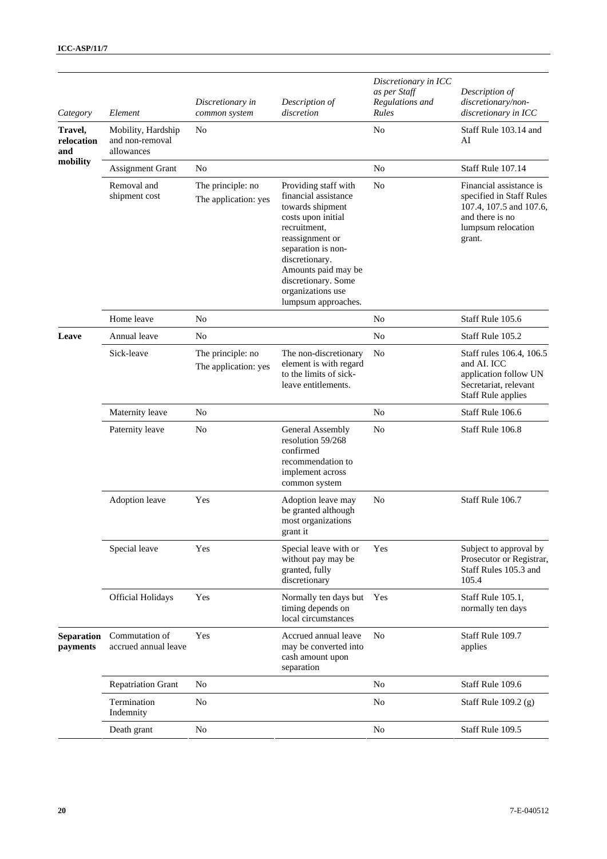| Category                     | Element                                             | Discretionary in<br>common system         | Description of<br>discretion                                                                                                                                                                                                                                | Discretionary in ICC<br>as per Staff<br>Regulations and<br>Rules | Description of<br>discretionary/non-<br>discretionary in ICC                                                                      |
|------------------------------|-----------------------------------------------------|-------------------------------------------|-------------------------------------------------------------------------------------------------------------------------------------------------------------------------------------------------------------------------------------------------------------|------------------------------------------------------------------|-----------------------------------------------------------------------------------------------------------------------------------|
| Travel,<br>relocation<br>and | Mobility, Hardship<br>and non-removal<br>allowances | No                                        |                                                                                                                                                                                                                                                             | N <sub>o</sub>                                                   | Staff Rule 103.14 and<br>AI                                                                                                       |
| mobility                     | Assignment Grant                                    | N <sub>o</sub>                            |                                                                                                                                                                                                                                                             | N <sub>o</sub>                                                   | Staff Rule 107.14                                                                                                                 |
|                              | Removal and<br>shipment cost                        | The principle: no<br>The application: yes | Providing staff with<br>financial assistance<br>towards shipment<br>costs upon initial<br>recruitment,<br>reassignment or<br>separation is non-<br>discretionary.<br>Amounts paid may be<br>discretionary. Some<br>organizations use<br>lumpsum approaches. | N <sub>0</sub>                                                   | Financial assistance is<br>specified in Staff Rules<br>107.4, 107.5 and 107.6,<br>and there is no<br>lumpsum relocation<br>grant. |
|                              | Home leave                                          | No                                        |                                                                                                                                                                                                                                                             | N <sub>0</sub>                                                   | Staff Rule 105.6                                                                                                                  |
| Leave                        | Annual leave                                        | N <sub>o</sub>                            |                                                                                                                                                                                                                                                             | N <sub>o</sub>                                                   | Staff Rule 105.2                                                                                                                  |
|                              | Sick-leave                                          | The principle: no<br>The application: yes | The non-discretionary<br>element is with regard<br>to the limits of sick-<br>leave entitlements.                                                                                                                                                            | N <sub>o</sub>                                                   | Staff rules 106.4, 106.5<br>and AI. ICC<br>application follow UN<br>Secretariat, relevant<br><b>Staff Rule applies</b>            |
|                              | Maternity leave                                     | N <sub>o</sub>                            |                                                                                                                                                                                                                                                             | N <sub>o</sub>                                                   | Staff Rule 106.6                                                                                                                  |
|                              | Paternity leave                                     | N <sub>o</sub>                            | General Assembly<br>resolution 59/268<br>confirmed<br>recommendation to<br>implement across<br>common system                                                                                                                                                | N <sub>o</sub>                                                   | Staff Rule 106.8                                                                                                                  |
|                              | Adoption leave                                      | Yes                                       | Adoption leave may<br>be granted although<br>most organizations<br>grant it                                                                                                                                                                                 | N <sub>o</sub>                                                   | Staff Rule 106.7                                                                                                                  |
|                              | Special leave                                       | Yes                                       | Special leave with or<br>without pay may be<br>granted, fully<br>discretionary                                                                                                                                                                              | Yes                                                              | Subject to approval by<br>Prosecutor or Registrar,<br>Staff Rules 105.3 and<br>105.4                                              |
|                              | <b>Official Holidays</b>                            | Yes                                       | Normally ten days but<br>timing depends on<br>local circumstances                                                                                                                                                                                           | Yes                                                              | Staff Rule 105.1,<br>normally ten days                                                                                            |
| Separation<br>payments       | Commutation of<br>accrued annual leave              | Yes                                       | Accrued annual leave<br>may be converted into<br>cash amount upon<br>separation                                                                                                                                                                             | N <sub>0</sub>                                                   | Staff Rule 109.7<br>applies                                                                                                       |
|                              | <b>Repatriation Grant</b>                           | N <sub>o</sub>                            |                                                                                                                                                                                                                                                             | N <sub>0</sub>                                                   | Staff Rule 109.6                                                                                                                  |
|                              | Termination<br>Indemnity                            | N <sub>o</sub>                            |                                                                                                                                                                                                                                                             | N <sub>o</sub>                                                   | Staff Rule $109.2$ (g)                                                                                                            |
|                              | Death grant                                         | N <sub>o</sub>                            |                                                                                                                                                                                                                                                             | $\rm No$                                                         | Staff Rule 109.5                                                                                                                  |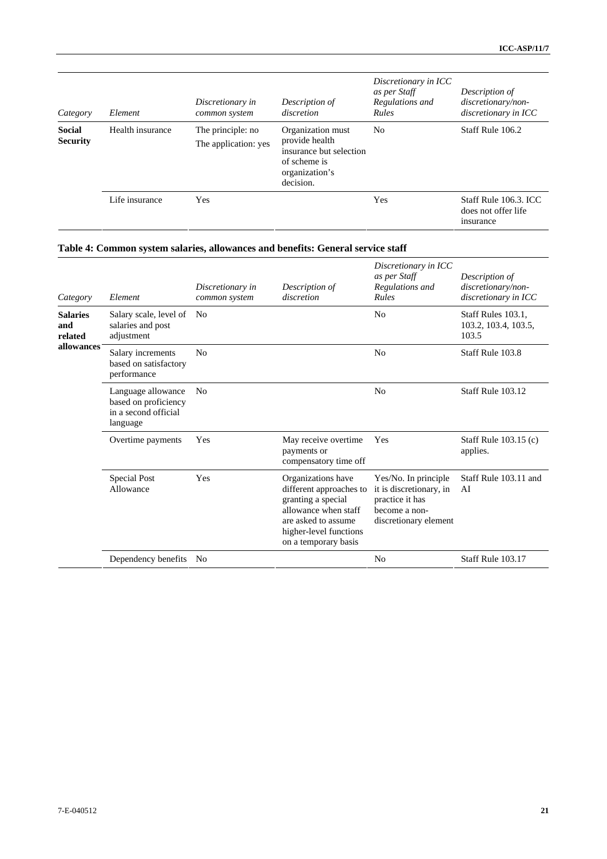| Category                         | Element          | Discretionary in<br>common system         | Description of<br>discretion                                                                                  | Discretionary in ICC<br>as per Staff<br>Regulations and<br>Rules | Description of<br>discretionary/non-<br>discretionary in ICC |
|----------------------------------|------------------|-------------------------------------------|---------------------------------------------------------------------------------------------------------------|------------------------------------------------------------------|--------------------------------------------------------------|
| <b>Social</b><br><b>Security</b> | Health insurance | The principle: no<br>The application: yes | Organization must<br>provide health<br>insurance but selection<br>of scheme is<br>organization's<br>decision. | N <sub>0</sub>                                                   | Staff Rule 106.2                                             |
|                                  | Life insurance   | Yes                                       |                                                                                                               | Yes                                                              | Staff Rule 106.3. ICC<br>does not offer life<br>insurance    |

# **Table 4: Common system salaries, allowances and benefits: General service staff**

| Category                                        | Element                                                                        | Discretionary in<br>common system | Description of<br>discretion                                                                                                                                          | Discretionary in ICC<br>as per Staff<br>Regulations and<br>Rules                                             | Description of<br>discretionary/non-<br>discretionary in ICC |
|-------------------------------------------------|--------------------------------------------------------------------------------|-----------------------------------|-----------------------------------------------------------------------------------------------------------------------------------------------------------------------|--------------------------------------------------------------------------------------------------------------|--------------------------------------------------------------|
| <b>Salaries</b><br>and<br>related<br>allowances | Salary scale, level of<br>salaries and post<br>adjustment                      | N <sub>0</sub>                    |                                                                                                                                                                       | N <sub>0</sub>                                                                                               | Staff Rules 103.1.<br>103.2, 103.4, 103.5,<br>103.5          |
|                                                 | Salary increments<br>based on satisfactory<br>performance                      | No                                |                                                                                                                                                                       | N <sub>0</sub>                                                                                               | Staff Rule 103.8                                             |
|                                                 | Language allowance<br>based on proficiency<br>in a second official<br>language | No                                |                                                                                                                                                                       | N <sub>0</sub>                                                                                               | Staff Rule 103.12                                            |
|                                                 | Overtime payments                                                              | Yes                               | May receive overtime<br>payments or<br>compensatory time off                                                                                                          | <b>Yes</b>                                                                                                   | Staff Rule 103.15 (c)<br>applies.                            |
|                                                 | Special Post<br>Allowance                                                      | Yes                               | Organizations have<br>different approaches to<br>granting a special<br>allowance when staff<br>are asked to assume.<br>higher-level functions<br>on a temporary basis | Yes/No. In principle<br>it is discretionary, in<br>practice it has<br>become a non-<br>discretionary element | Staff Rule 103.11 and<br>AI                                  |
|                                                 | Dependency benefits                                                            | No                                |                                                                                                                                                                       | N <sub>0</sub>                                                                                               | Staff Rule 103.17                                            |